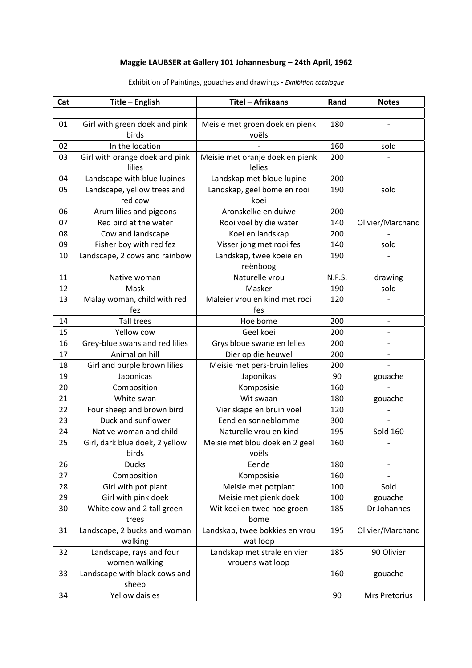## **Maggie LAUBSER at Gallery 101 Johannesburg – 24th April, 1962**

| Cat | Title - English                | Titel - Afrikaans               | Rand   | <b>Notes</b>             |
|-----|--------------------------------|---------------------------------|--------|--------------------------|
|     |                                |                                 |        |                          |
| 01  | Girl with green doek and pink  | Meisie met groen doek en pienk  | 180    |                          |
|     | birds                          | voëls                           |        |                          |
| 02  | In the location                |                                 | 160    | sold                     |
| 03  | Girl with orange doek and pink | Meisie met oranje doek en pienk | 200    |                          |
|     | lilies                         | lelies                          |        |                          |
| 04  | Landscape with blue lupines    | Landskap met bloue lupine       | 200    |                          |
| 05  | Landscape, yellow trees and    | Landskap, geel bome en rooi     | 190    | sold                     |
|     | red cow                        | koei                            |        |                          |
| 06  | Arum lilies and pigeons        | Aronskelke en duiwe             | 200    |                          |
| 07  | Red bird at the water          | Rooi voel by die water          | 140    | Olivier/Marchand         |
| 08  | Cow and landscape              | Koei en landskap                | 200    |                          |
| 09  | Fisher boy with red fez        | Visser jong met rooi fes        | 140    | sold                     |
| 10  | Landscape, 2 cows and rainbow  | Landskap, twee koeie en         | 190    |                          |
|     |                                | reënboog                        |        |                          |
| 11  | Native woman                   | Naturelle vrou                  | N.F.S. | drawing                  |
| 12  | Mask                           | Masker                          | 190    | sold                     |
| 13  | Malay woman, child with red    | Maleier vrou en kind met rooi   | 120    |                          |
|     | fez                            | fes                             |        |                          |
| 14  | <b>Tall trees</b>              | Hoe bome                        | 200    | $\overline{\phantom{a}}$ |
| 15  | Yellow cow                     | Geel koei                       | 200    | $\overline{\phantom{a}}$ |
| 16  | Grey-blue swans and red lilies | Grys bloue swane en lelies      | 200    |                          |
| 17  | Animal on hill                 | Dier op die heuwel              | 200    |                          |
| 18  | Girl and purple brown lilies   | Meisie met pers-bruin lelies    | 200    |                          |
| 19  | Japonicas                      | Japonikas                       | 90     | gouache                  |
| 20  | Composition                    | Komposisie                      | 160    |                          |
| 21  | White swan                     | Wit swaan                       | 180    | gouache                  |
| 22  | Four sheep and brown bird      | Vier skape en bruin voel        | 120    |                          |
| 23  | Duck and sunflower             | Eend en sonneblomme             | 300    |                          |
| 24  | Native woman and child         | Naturelle vrou en kind          | 195    | <b>Sold 160</b>          |
| 25  | Girl, dark blue doek, 2 yellow | Meisie met blou doek en 2 geel  | 160    |                          |
|     | birds                          | voëls                           |        |                          |
| 26  | <b>Ducks</b>                   | Eende                           | 180    |                          |
| 27  | Composition                    | Komposisie                      | 160    |                          |
| 28  | Girl with pot plant            | Meisie met potplant             | 100    | Sold                     |
| 29  | Girl with pink doek            | Meisie met pienk doek           | 100    | gouache                  |
| 30  | White cow and 2 tall green     | Wit koei en twee hoe groen      | 185    | Dr Johannes              |
|     | trees                          | bome                            |        |                          |
| 31  | Landscape, 2 bucks and woman   | Landskap, twee bokkies en vrou  | 195    | Olivier/Marchand         |
|     | walking                        | wat loop                        |        |                          |
| 32  | Landscape, rays and four       | Landskap met strale en vier     | 185    | 90 Olivier               |
|     | women walking                  | vrouens wat loop                |        |                          |
| 33  | Landscape with black cows and  |                                 | 160    | gouache                  |
|     | sheep                          |                                 |        |                          |
| 34  | Yellow daisies                 |                                 | 90     | Mrs Pretorius            |

Exhibition of Paintings, gouaches and drawings ‐ *Exhibition catalogue*